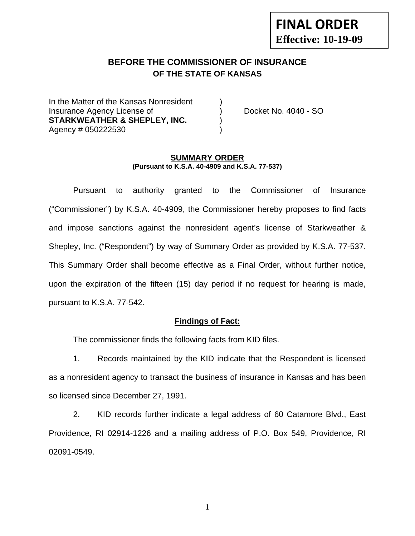## **FINAL ORDER Effective: 10-19-09**

#### **BEFORE THE COMMISSIONER OF INSURANCE OF THE STATE OF KANSAS**

In the Matter of the Kansas Nonresident Insurance Agency License of (a) provide the Docket No. 4040 - SO STARKWEATHER & SHEPLEY, INC. Agency # 050222530 )

#### **SUMMARY ORDER (Pursuant to K.S.A. 40-4909 and K.S.A. 77-537)**

 Pursuant to authority granted to the Commissioner of Insurance ("Commissioner") by K.S.A. 40-4909, the Commissioner hereby proposes to find facts and impose sanctions against the nonresident agent's license of Starkweather & Shepley, Inc. ("Respondent") by way of Summary Order as provided by K.S.A. 77-537. This Summary Order shall become effective as a Final Order, without further notice, upon the expiration of the fifteen (15) day period if no request for hearing is made, pursuant to K.S.A. 77-542.

#### **Findings of Fact:**

The commissioner finds the following facts from KID files.

 1. Records maintained by the KID indicate that the Respondent is licensed as a nonresident agency to transact the business of insurance in Kansas and has been so licensed since December 27, 1991.

 2. KID records further indicate a legal address of 60 Catamore Blvd., East Providence, RI 02914-1226 and a mailing address of P.O. Box 549, Providence, RI 02091-0549.

1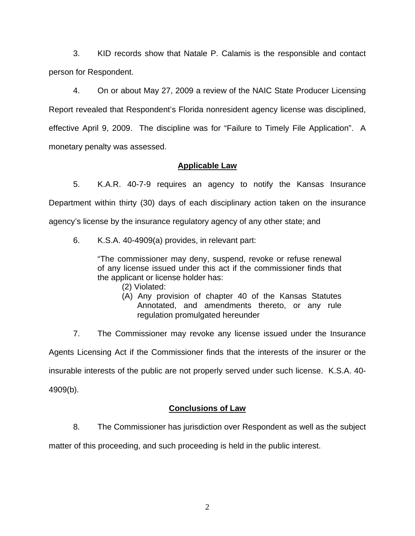3. KID records show that Natale P. Calamis is the responsible and contact person for Respondent.

 4. On or about May 27, 2009 a review of the NAIC State Producer Licensing Report revealed that Respondent's Florida nonresident agency license was disciplined, effective April 9, 2009. The discipline was for "Failure to Timely File Application". A monetary penalty was assessed.

#### **Applicable Law**

 5. K.A.R. 40-7-9 requires an agency to notify the Kansas Insurance Department within thirty (30) days of each disciplinary action taken on the insurance agency's license by the insurance regulatory agency of any other state; and

6. K.S.A. 40-4909(a) provides, in relevant part:

"The commissioner may deny, suspend, revoke or refuse renewal of any license issued under this act if the commissioner finds that the applicant or license holder has:

- (2) Violated:
- (A) Any provision of chapter 40 of the Kansas Statutes Annotated, and amendments thereto, or any rule regulation promulgated hereunder

7. The Commissioner may revoke any license issued under the Insurance

Agents Licensing Act if the Commissioner finds that the interests of the insurer or the

insurable interests of the public are not properly served under such license. K.S.A. 40-

4909(b).

#### **Conclusions of Law**

8. The Commissioner has jurisdiction over Respondent as well as the subject

matter of this proceeding, and such proceeding is held in the public interest.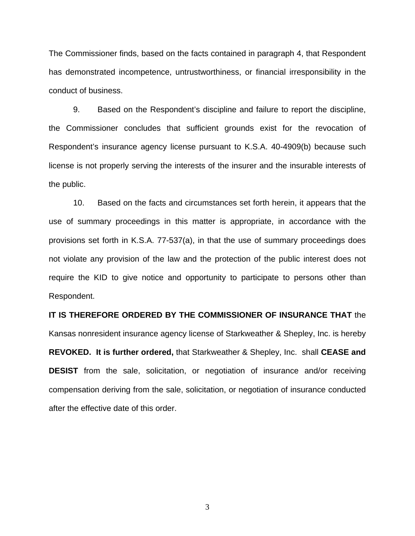The Commissioner finds, based on the facts contained in paragraph 4, that Respondent has demonstrated incompetence, untrustworthiness, or financial irresponsibility in the conduct of business.

 9. Based on the Respondent's discipline and failure to report the discipline, the Commissioner concludes that sufficient grounds exist for the revocation of Respondent's insurance agency license pursuant to K.S.A. 40-4909(b) because such license is not properly serving the interests of the insurer and the insurable interests of the public.

 10. Based on the facts and circumstances set forth herein, it appears that the use of summary proceedings in this matter is appropriate, in accordance with the provisions set forth in K.S.A. 77-537(a), in that the use of summary proceedings does not violate any provision of the law and the protection of the public interest does not require the KID to give notice and opportunity to participate to persons other than Respondent.

# **IT IS THEREFORE ORDERED BY THE COMMISSIONER OF INSURANCE THAT** the Kansas nonresident insurance agency license of Starkweather & Shepley, Inc. is hereby **REVOKED. It is further ordered,** that Starkweather & Shepley, Inc. shall **CEASE and DESIST** from the sale, solicitation, or negotiation of insurance and/or receiving compensation deriving from the sale, solicitation, or negotiation of insurance conducted after the effective date of this order.

3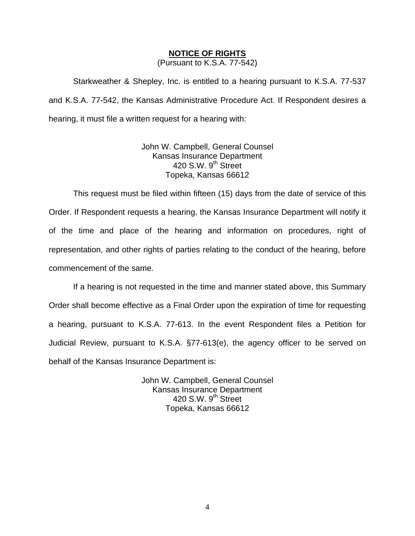#### **NOTICE OF RIGHTS**

(Pursuant to K.S.A. 77-542)

Starkweather & Shepley, Inc. is entitled to a hearing pursuant to K.S.A. 77-537 and K.S.A. 77-542, the Kansas Administrative Procedure Act. If Respondent desires a hearing, it must file a written request for a hearing with:

> John W. Campbell, General Counsel Kansas Insurance Department 420 S.W. 9<sup>th</sup> Street Topeka, Kansas 66612

This request must be filed within fifteen (15) days from the date of service of this Order. If Respondent requests a hearing, the Kansas Insurance Department will notify it of the time and place of the hearing and information on procedures, right of representation, and other rights of parties relating to the conduct of the hearing, before commencement of the same.

If a hearing is not requested in the time and manner stated above, this Summary Order shall become effective as a Final Order upon the expiration of time for requesting a hearing, pursuant to K.S.A. 77-613. In the event Respondent files a Petition for Judicial Review, pursuant to K.S.A. §77-613(e), the agency officer to be served on behalf of the Kansas Insurance Department is:

> John W. Campbell, General Counsel Kansas Insurance Department 420 S.W.  $9<sup>th</sup>$  Street Topeka, Kansas 66612